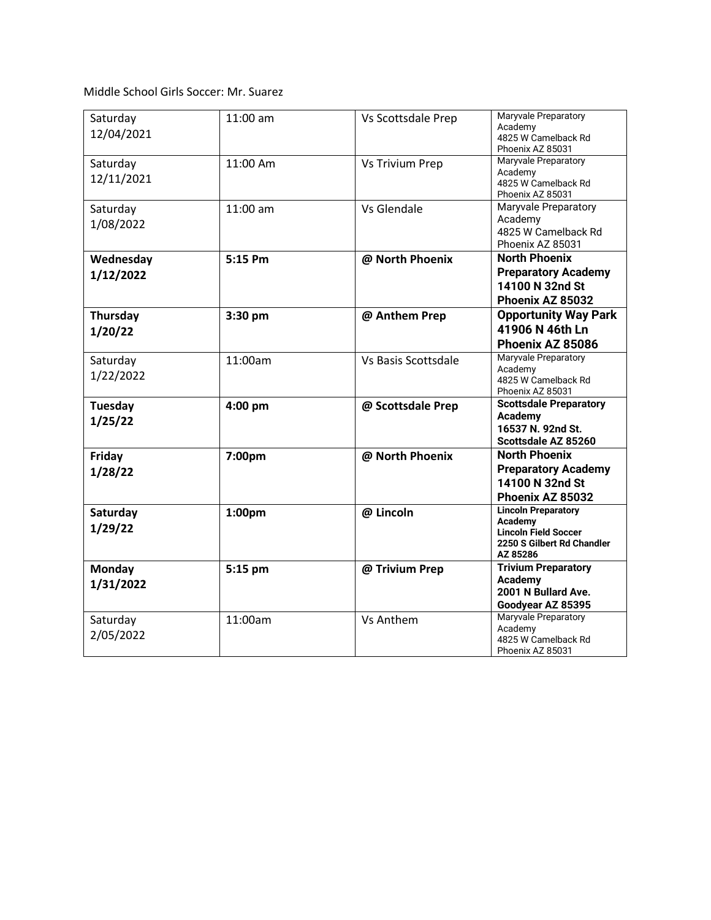Middle School Girls Soccer: Mr. Suarez

| Saturday<br>12/04/2021     | 11:00 am   | Vs Scottsdale Prep     | Maryvale Preparatory<br>Academy<br>4825 W Camelback Rd<br>Phoenix AZ 85031                                     |
|----------------------------|------------|------------------------|----------------------------------------------------------------------------------------------------------------|
| Saturday<br>12/11/2021     | 11:00 Am   | <b>Vs Trivium Prep</b> | Maryvale Preparatory<br>Academy<br>4825 W Camelback Rd<br>Phoenix AZ 85031                                     |
| Saturday<br>1/08/2022      | $11:00$ am | Vs Glendale            | <b>Maryvale Preparatory</b><br>Academy<br>4825 W Camelback Rd<br>Phoenix AZ 85031                              |
| Wednesday<br>1/12/2022     | 5:15 Pm    | @ North Phoenix        | <b>North Phoenix</b><br><b>Preparatory Academy</b><br>14100 N 32nd St<br>Phoenix AZ 85032                      |
| Thursday<br>1/20/22        | 3:30 pm    | @ Anthem Prep          | <b>Opportunity Way Park</b><br>41906 N 46th Ln<br>Phoenix AZ 85086                                             |
| Saturday<br>1/22/2022      | 11:00am    | Vs Basis Scottsdale    | Maryvale Preparatory<br>Academy<br>4825 W Camelback Rd<br>Phoenix AZ 85031                                     |
| Tuesday<br>1/25/22         | 4:00 pm    | @ Scottsdale Prep      | <b>Scottsdale Preparatory</b><br>Academy<br>16537 N. 92nd St.<br>Scottsdale AZ 85260                           |
| Friday<br>1/28/22          | 7:00pm     | @ North Phoenix        | <b>North Phoenix</b><br><b>Preparatory Academy</b><br>14100 N 32nd St<br>Phoenix AZ 85032                      |
| Saturday<br>1/29/22        | 1:00pm     | @ Lincoln              | <b>Lincoln Preparatory</b><br>Academy<br><b>Lincoln Field Soccer</b><br>2250 S Gilbert Rd Chandler<br>AZ 85286 |
| <b>Monday</b><br>1/31/2022 | 5:15 pm    | @ Trivium Prep         | <b>Trivium Preparatory</b><br><b>Academy</b><br>2001 N Bullard Ave.<br>Goodyear AZ 85395                       |
| Saturday<br>2/05/2022      | 11:00am    | <b>Vs Anthem</b>       | Maryvale Preparatory<br>Academy<br>4825 W Camelback Rd<br>Phoenix AZ 85031                                     |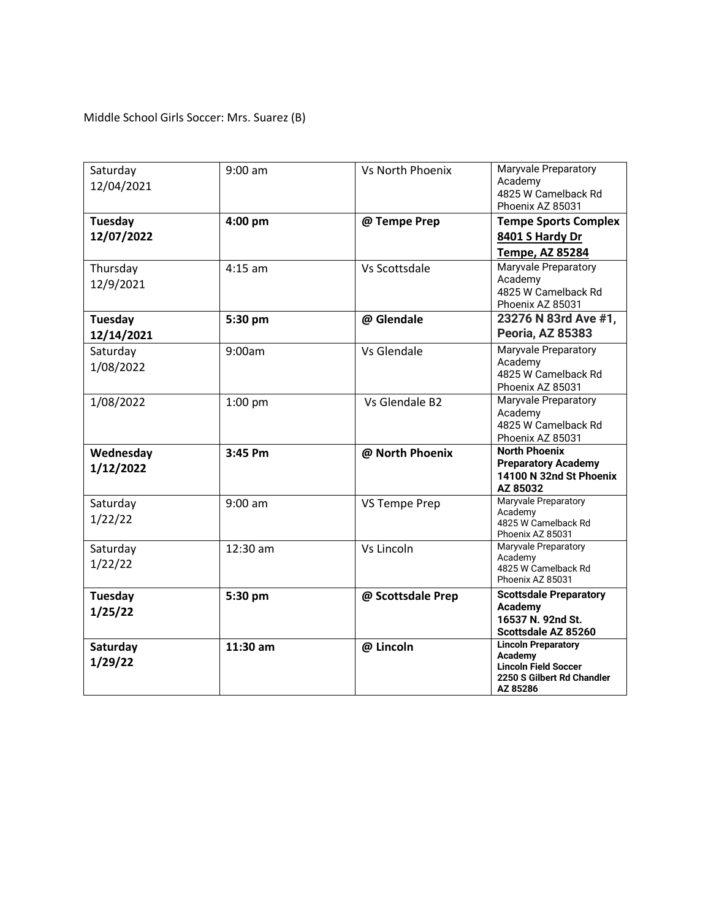Middle School Girls Soccer: Mrs. Suarez (B)

| Saturday<br>12/04/2021    | $9:00$ am  | <b>Vs North Phoenix</b> | Maryvale Preparatory<br>Academy<br>4825 W Camelback Rd<br>Phoenix AZ 85031                                     |
|---------------------------|------------|-------------------------|----------------------------------------------------------------------------------------------------------------|
| Tuesday<br>12/07/2022     | $4:00$ pm  | @ Tempe Prep            | <b>Tempe Sports Complex</b><br>8401 S Hardy Dr<br>Tempe, AZ 85284                                              |
| Thursday<br>12/9/2021     | $4:15$ am  | Vs Scottsdale           | Maryvale Preparatory<br>Academy<br>4825 W Camelback Rd<br>Phoenix AZ 85031                                     |
| Tuesday<br>12/14/2021     | 5:30 pm    | @ Glendale              | 23276 N 83rd Ave #1,<br><b>Peoria, AZ 85383</b>                                                                |
| Saturday<br>1/08/2022     | 9:00am     | Vs Glendale             | <b>Maryvale Preparatory</b><br>Academy<br>4825 W Camelback Rd<br>Phoenix AZ 85031                              |
| 1/08/2022                 | $1:00$ pm  | Vs Glendale B2          | Maryvale Preparatory<br>Academy<br>4825 W Camelback Rd<br>Phoenix AZ 85031                                     |
| Wednesday<br>1/12/2022    | 3:45 Pm    | @ North Phoenix         | <b>North Phoenix</b><br><b>Preparatory Academy</b><br>14100 N 32nd St Phoenix<br>AZ 85032                      |
| Saturday<br>1/22/22       | $9:00$ am  | <b>VS Tempe Prep</b>    | <b>Maryvale Preparatory</b><br>Academy<br>4825 W Camelback Rd<br>Phoenix AZ 85031                              |
| Saturday<br>1/22/22       | 12:30 am   | Vs Lincoln              | Maryvale Preparatory<br>Academy<br>4825 W Camelback Rd<br>Phoenix AZ 85031                                     |
| <b>Tuesday</b><br>1/25/22 | 5:30 pm    | @ Scottsdale Prep       | <b>Scottsdale Preparatory</b><br>Academy<br>16537 N. 92nd St.<br>Scottsdale AZ 85260                           |
| Saturday<br>1/29/22       | $11:30$ am | @ Lincoln               | <b>Lincoln Preparatory</b><br>Academy<br><b>Lincoln Field Soccer</b><br>2250 S Gilbert Rd Chandler<br>AZ 85286 |